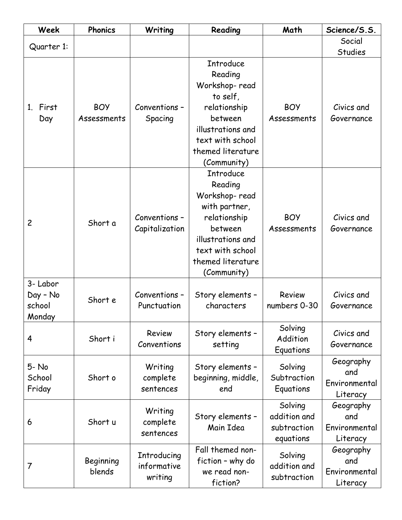| Week                                     | <b>Phonics</b>            | Writing                               | Reading                                                                                                                                                               | Math                                                | Science/S.S.                                  |
|------------------------------------------|---------------------------|---------------------------------------|-----------------------------------------------------------------------------------------------------------------------------------------------------------------------|-----------------------------------------------------|-----------------------------------------------|
| Quarter 1:                               |                           |                                       |                                                                                                                                                                       |                                                     | Social                                        |
|                                          |                           |                                       |                                                                                                                                                                       |                                                     | <b>Studies</b>                                |
| 1. First<br>Day                          | <b>BOY</b><br>Assessments | Conventions -<br>Spacing              | <b>Introduce</b><br>Reading<br>Workshop-read<br>to self,<br>relationship<br>between<br>illustrations and<br>text with school<br>themed literature<br>(Community)      | <b>BOY</b><br>Assessments                           | Civics and<br>Governance                      |
| $\overline{c}$                           | Short a                   | Conventions -<br>Capitalization       | <b>Introduce</b><br>Reading<br>Workshop-read<br>with partner,<br>relationship<br>between<br>illustrations and<br>text with school<br>themed literature<br>(Community) | <b>BOY</b><br>Assessments                           | Civics and<br>Governance                      |
| 3- Labor<br>Day - No<br>school<br>Monday | Short e                   | Conventions -<br>Punctuation          | Story elements -<br>characters                                                                                                                                        | <b>Review</b><br>numbers 0-30                       | Civics and<br>Governance                      |
| 4                                        | Short i                   | Review<br>Conventions                 | Story elements -<br>setting                                                                                                                                           | Solving<br>Addition<br>Equations                    | Civics and<br>Governance                      |
| 5-No<br>School<br>Friday                 | Short o                   | Writing<br>complete<br>sentences      | Story elements -<br>beginning, middle,<br>end                                                                                                                         | Solving<br>Subtraction<br>Equations                 | Geography<br>and<br>Environmental<br>Literacy |
| 6                                        | Short u                   | Writing<br>complete<br>sentences      | Story elements -<br>Main Idea                                                                                                                                         | Solving<br>addition and<br>subtraction<br>equations | Geography<br>and<br>Environmental<br>Literacy |
| 7                                        | Beginning<br>blends       | Introducing<br>informative<br>writing | Fall themed non-<br>fiction - why do<br>we read non-<br>fiction?                                                                                                      | Solving<br>addition and<br>subtraction              | Geography<br>and<br>Environmental<br>Literacy |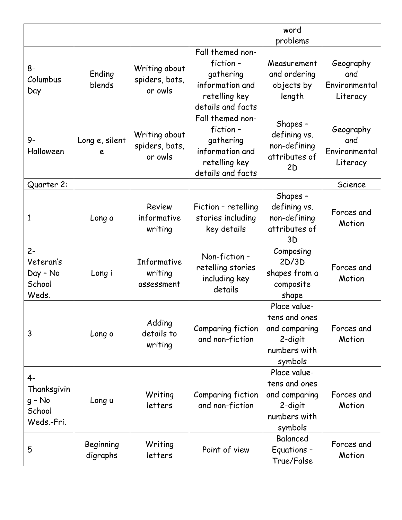|                                                     |                       |                                            |                                                                                                    | word<br>problems                                                                     |                                               |
|-----------------------------------------------------|-----------------------|--------------------------------------------|----------------------------------------------------------------------------------------------------|--------------------------------------------------------------------------------------|-----------------------------------------------|
| 8-<br>Columbus<br>Day                               | Ending<br>blends      | Writing about<br>spiders, bats,<br>or owls | Fall themed non-<br>fiction-<br>gathering<br>information and<br>retelling key<br>details and facts | Measurement<br>and ordering<br>objects by<br>length                                  | Geography<br>and<br>Environmental<br>Literacy |
| $9-$<br>Halloween                                   | Long e, silent<br>e   | Writing about<br>spiders, bats,<br>or owls | Fall themed non-<br>fiction-<br>gathering<br>information and<br>retelling key<br>details and facts | Shapes -<br>defining vs.<br>non-defining<br>attributes of<br>2D                      | Geography<br>and<br>Environmental<br>Literacy |
| Quarter 2:                                          |                       |                                            |                                                                                                    |                                                                                      | Science                                       |
| 1                                                   | Long a                | Review<br>informative<br>writing           | Fiction - retelling<br>stories including<br>key details                                            | Shapes -<br>defining vs.<br>non-defining<br>attributes of<br>3D                      | Forces and<br>Motion                          |
| $2 -$<br>Veteran's<br>Day - No<br>School<br>Weds.   | Long i                | Informative<br>writing<br>assessment       | Non-fiction-<br>retelling stories<br>including key<br>details                                      | Composing<br>2D/3D<br>shapes from a<br>composite<br>shape                            | Forces and<br>Motion                          |
| 3                                                   | Long o                | Adding<br>details to<br>writing            | Comparing fiction<br>and non-fiction                                                               | Place value-<br>tens and ones<br>and comparing<br>2-digit<br>numbers with<br>symbols | Forces and<br>Motion                          |
| 4-<br>Thanksgivin<br>g - No<br>School<br>Weds.-Fri. | Long u                | Writing<br>letters                         | Comparing fiction<br>and non-fiction                                                               | Place value-<br>tens and ones<br>and comparing<br>2-digit<br>numbers with<br>symbols | Forces and<br>Motion                          |
| 5                                                   | Beginning<br>digraphs | Writing<br>letters                         | Point of view                                                                                      | Balanced<br>Equations -<br>True/False                                                | Forces and<br>Motion                          |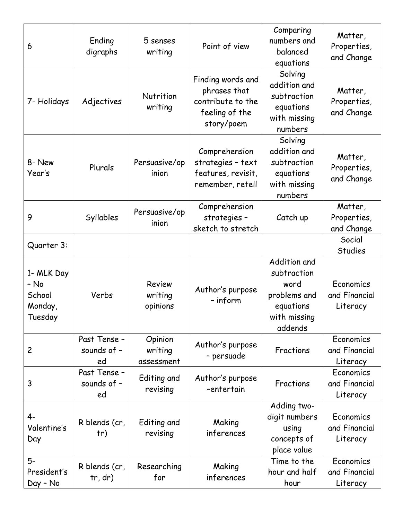| 6                                                  | Ending<br>digraphs                | 5 senses<br>writing                  | Point of view                                                                          | Comparing<br>numbers and<br>balanced<br>equations                                           | Matter,<br>Properties,<br>and Change   |
|----------------------------------------------------|-----------------------------------|--------------------------------------|----------------------------------------------------------------------------------------|---------------------------------------------------------------------------------------------|----------------------------------------|
| 7- Holidays                                        | Adjectives                        | Nutrition<br>writing                 | Finding words and<br>phrases that<br>contribute to the<br>feeling of the<br>story/poem | Solving<br>addition and<br>subtraction<br>equations<br>with missing<br>numbers              | Matter,<br>Properties,<br>and Change   |
| 8- New<br>Year's                                   | Plurals                           | Persuasive/op<br>inion               | Comprehension<br>strategies - text<br>features, revisit,<br>remember, retell           | Solving<br>addition and<br>subtraction<br>equations<br>with missing<br>numbers              | Matter,<br>Properties,<br>and Change   |
| 9                                                  | Syllables                         | Persuasive/op<br>inion               | Comprehension<br>strategies -<br>sketch to stretch                                     | Catch up                                                                                    | Matter,<br>Properties,<br>and Change   |
| Quarter 3:                                         |                                   |                                      |                                                                                        |                                                                                             | Social<br><b>Studies</b>               |
| 1- MLK Day<br>- No<br>School<br>Monday,<br>Tuesday | Verbs                             | <b>Review</b><br>writing<br>opinions | Author's purpose<br>- inform                                                           | Addition and<br>subtraction<br>word<br>problems and<br>equations<br>with missing<br>addends | Economics<br>and Financial<br>Literacy |
| $\overline{c}$                                     | Past Tense -<br>sounds of -<br>ed | Opinion<br>writing<br>assessment     | Author's purpose<br>- persuade                                                         | Fractions                                                                                   | Economics<br>and Financial<br>Literacy |
| 3                                                  | Past Tense -<br>sounds of -<br>ed | Editing and<br>revising              | Author's purpose<br>-entertain                                                         | Fractions                                                                                   | Economics<br>and Financial<br>Literacy |
| 4-<br>Valentine's<br>Day                           | R blends (cr,<br>tr)              | Editing and<br>revising              | Making<br>inferences                                                                   | Adding two-<br>digit numbers<br>using<br>concepts of<br>place value                         | Economics<br>and Financial<br>Literacy |
| 5-<br>President's<br>Day - No                      | R blends (cr,<br>tr, dr)          | Researching<br>for                   | Making<br>inferences                                                                   | Time to the<br>hour and half<br>hour                                                        | Economics<br>and Financial<br>Literacy |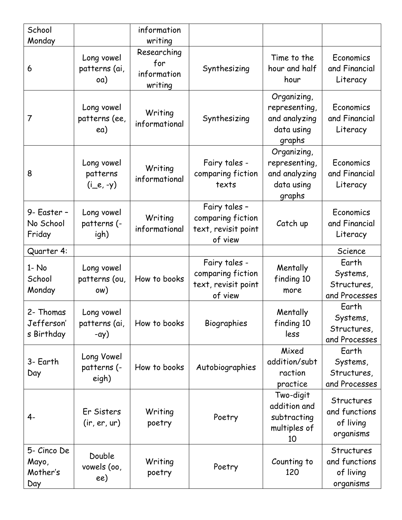| School<br>Monday                        |                                             | information<br>writing                       |                                                                      |                                                                       |                                                       |
|-----------------------------------------|---------------------------------------------|----------------------------------------------|----------------------------------------------------------------------|-----------------------------------------------------------------------|-------------------------------------------------------|
| 6                                       | Long vowel<br>patterns (ai,<br>oa)          | Researching<br>for<br>information<br>writing | Synthesizing                                                         | Time to the<br>hour and half<br>hour                                  | Economics<br>and Financial<br>Literacy                |
| 7                                       | Long vowel<br>patterns (ee,<br>ea)          | Writing<br>informational                     | Synthesizing                                                         | Organizing,<br>representing,<br>and analyzing<br>data using<br>graphs | Economics<br>and Financial<br>Literacy                |
| 8                                       | Long vowel<br>patterns<br>$(i_e, -y)$       | Writing<br>informational                     | Fairy tales -<br>comparing fiction<br>texts                          | Organizing,<br>representing,<br>and analyzing<br>data using<br>graphs | Economics<br>and Financial<br>Literacy                |
| 9- Easter -<br>No School<br>Friday      | Long vowel<br>patterns (-<br>igh)           | Writing<br>informational                     | Fairy tales -<br>comparing fiction<br>text, revisit point<br>of view | Catch up                                                              | Economics<br>and Financial<br>Literacy                |
| Quarter 4:                              |                                             |                                              |                                                                      |                                                                       | Science                                               |
| $1 - No$<br>School<br>Monday            | Long vowel<br>patterns (ou,<br>ow)          | How to books                                 | Fairy tales -<br>comparing fiction<br>text, revisit point<br>of view | Mentally<br>finding 10<br>more                                        | Earth<br>Systems,<br>Structures,<br>and Processes     |
| 2- Thomas<br>Jefferson'<br>s Birthday   | Long vowel<br>patterns (ai,<br>$-\alpha y)$ | How to books                                 | Biographies                                                          | Mentally<br>finding 10<br>less                                        | Earth<br>Systems,<br>Structures,<br>and Processes     |
| 3- Earth<br>Day                         | Long Vowel<br>patterns (-<br>eigh)          | How to books                                 | Autobiographies                                                      | Mixed<br>addition/subt<br>raction<br>practice                         | Earth<br>Systems,<br>Structures,<br>and Processes     |
| 4-                                      | Er Sisters<br>(ir, er, ur)                  | Writing<br>poetry                            | Poetry                                                               | Two-digit<br>addition and<br>subtracting<br>multiples of<br>10        | Structures<br>and functions<br>of living<br>organisms |
| 5- Cinco De<br>Mayo,<br>Mother's<br>Day | Double<br>vowels (oo,<br>ee)                | Writing<br>poetry                            | Poetry                                                               | Counting to<br>120                                                    | Structures<br>and functions<br>of living<br>organisms |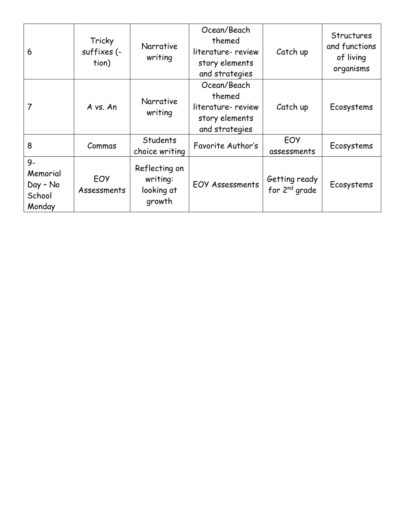| 6                                                | Tricky<br>suffixes (-<br>tion) | Narrative<br>writing                              | Ocean/Beach<br>themed<br>literature-review<br>story elements<br>and strategies | Catch up                                   | <b>Structures</b><br>and functions<br>of living<br>organisms |
|--------------------------------------------------|--------------------------------|---------------------------------------------------|--------------------------------------------------------------------------------|--------------------------------------------|--------------------------------------------------------------|
|                                                  | A vs. An                       | Narrative<br>writing                              | Ocean/Beach<br>themed<br>literature-review<br>story elements<br>and strategies | Catch up                                   | Ecosystems                                                   |
| 8                                                | Commas                         | Students<br>choice writing                        | Favorite Author's                                                              | EOY<br>assessments                         | Ecosystems                                                   |
| $9-$<br>Memorial<br>Day - No<br>School<br>Monday | EOY<br>Assessments             | Reflecting on<br>writing:<br>looking at<br>growth | <b>EOY Assessments</b>                                                         | Getting ready<br>for 2 <sup>nd</sup> grade | Ecosystems                                                   |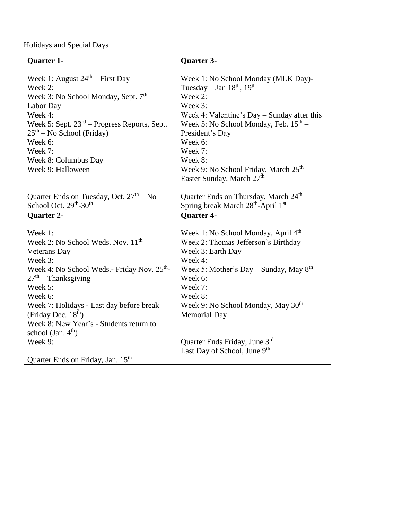Holidays and Special Days

| <b>Quarter 1-</b>                                       | Quarter 3-                                         |
|---------------------------------------------------------|----------------------------------------------------|
|                                                         |                                                    |
| Week 1: August $24th$ – First Day                       | Week 1: No School Monday (MLK Day)-                |
| Week 2:                                                 | Tuesday - Jan $18th$ , $19th$                      |
| Week 3: No School Monday, Sept. 7 <sup>th</sup> –       | Week 2:                                            |
| Labor Day                                               | Week 3:                                            |
| Week 4:                                                 | Week 4: Valentine's Day – Sunday after this        |
| Week 5: Sept. $23rd$ – Progress Reports, Sept.          | Week 5: No School Monday, Feb. $15th$ –            |
| $25th$ – No School (Friday)                             | President's Day                                    |
| Week 6:                                                 | Week 6:                                            |
| Week 7:                                                 | Week 7:                                            |
| Week 8: Columbus Day                                    | Week 8:                                            |
| Week 9: Halloween                                       | Week 9: No School Friday, March $25th$ –           |
|                                                         | Easter Sunday, March 27 <sup>th</sup>              |
|                                                         |                                                    |
| Quarter Ends on Tuesday, Oct. $27th - No$               | Quarter Ends on Thursday, March 24 <sup>th</sup> - |
| School Oct. 29 <sup>th</sup> -30 <sup>th</sup>          | Spring break March 28 <sup>th</sup> -April 1st     |
| <b>Quarter 2-</b>                                       | <b>Quarter 4-</b>                                  |
|                                                         |                                                    |
| Week 1:                                                 | Week 1: No School Monday, April 4 <sup>th</sup>    |
| Week 2: No School Weds. Nov. $11th$ –                   | Week 2: Thomas Jefferson's Birthday                |
| <b>Veterans</b> Day                                     | Week 3: Earth Day                                  |
| Week 3:                                                 | Week 4:                                            |
| Week 4: No School Weds.- Friday Nov. 25 <sup>th</sup> - | Week 5: Mother's Day - Sunday, May $8th$           |
| $27th$ – Thanksgiving                                   | Week 6:                                            |
| Week 5:                                                 | Week 7:                                            |
| Week 6:                                                 | Week 8:                                            |
| Week 7: Holidays - Last day before break                | Week 9: No School Monday, May 30 <sup>th</sup> –   |
| (Friday Dec. $18th$ )                                   | <b>Memorial Day</b>                                |
| Week 8: New Year's - Students return to                 |                                                    |
| school (Jan. $4th$ )                                    |                                                    |
| Week 9:                                                 | Quarter Ends Friday, June 3rd                      |
|                                                         | Last Day of School, June 9th                       |
| Quarter Ends on Friday, Jan. 15 <sup>th</sup>           |                                                    |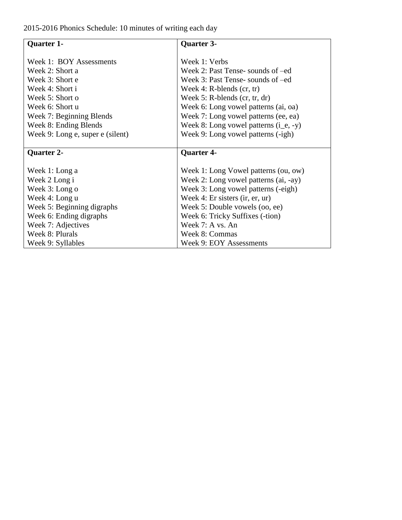2015-2016 Phonics Schedule: 10 minutes of writing each day

| <b>Quarter 1-</b>                | <b>Quarter 3-</b>                       |
|----------------------------------|-----------------------------------------|
| Week 1: BOY Assessments          | Week 1: Verbs                           |
|                                  |                                         |
| Week 2: Short a                  | Week 2: Past Tense-sounds of –ed        |
| Week 3: Short e                  | Week 3: Past Tense- sounds of –ed       |
| Week 4: Short i                  | Week 4: $R$ -blends (cr, tr)            |
| Week 5: Short o                  | Week 5: R-blends $(cr, tr, dr)$         |
| Week 6: Short u                  | Week 6: Long vowel patterns (ai, oa)    |
| Week 7: Beginning Blends         | Week 7: Long vowel patterns (ee, ea)    |
| Week 8: Ending Blends            | Week 8: Long vowel patterns $(i_e, -y)$ |
| Week 9: Long e, super e (silent) | Week 9: Long vowel patterns (-igh)      |
|                                  |                                         |
| <b>Quarter 2-</b>                | <b>Quarter 4-</b>                       |
|                                  |                                         |
| Week 1: Long a                   | Week 1: Long Vowel patterns (ou, ow)    |
| Week 2 Long i                    | Week 2: Long vowel patterns (ai, -ay)   |
| Week 3: Long o                   | Week 3: Long vowel patterns (-eigh)     |
| Week 4: Long u                   | Week 4: Er sisters (ir, er, ur)         |
| Week 5: Beginning digraphs       | Week 5: Double vowels (oo, ee)          |
| Week 6: Ending digraphs          | Week 6: Tricky Suffixes (-tion)         |
| Week 7: Adjectives               | Week 7: A vs. An                        |
| Week 8: Plurals                  | Week 8: Commas                          |
| Week 9: Syllables                | <b>Week 9: EOY Assessments</b>          |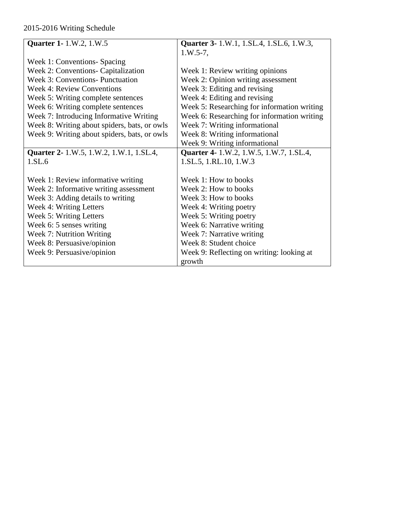## 2015-2016 Writing Schedule

| <b>Quarter 1-</b> 1.W.2, 1.W.5               | Quarter 3- 1.W.1, 1.SL.4, 1.SL.6, 1.W.3,    |
|----------------------------------------------|---------------------------------------------|
|                                              | $1.W.5-7,$                                  |
| Week 1: Conventions- Spacing                 |                                             |
| Week 2: Conventions- Capitalization          | Week 1: Review writing opinions             |
| Week 3: Conventions- Punctuation             | Week 2: Opinion writing assessment          |
| <b>Week 4: Review Conventions</b>            | Week 3: Editing and revising                |
| Week 5: Writing complete sentences           | Week 4: Editing and revising                |
| Week 6: Writing complete sentences           | Week 5: Researching for information writing |
| Week 7: Introducing Informative Writing      | Week 6: Researching for information writing |
| Week 8: Writing about spiders, bats, or owls | Week 7: Writing informational               |
| Week 9: Writing about spiders, bats, or owls | Week 8: Writing informational               |
|                                              | Week 9: Writing informational               |
| Quarter 2- 1.W.5, 1.W.2, 1.W.1, 1.SL.4,      | Quarter 4- 1.W.2, 1.W.5, 1.W.7, 1.SL.4,     |
| 1.SL.6                                       | 1.SL.5, 1.RL.10, 1.W.3                      |
|                                              |                                             |
| Week 1: Review informative writing           | Week 1: How to books                        |
| Week 2: Informative writing assessment       | Week 2: How to books                        |
| Week 3: Adding details to writing            | Week 3: How to books                        |
| Week 4: Writing Letters                      | Week 4: Writing poetry                      |
| Week 5: Writing Letters                      | Week 5: Writing poetry                      |
| Week 6: 5 senses writing                     | Week 6: Narrative writing                   |
| Week 7: Nutrition Writing                    | Week 7: Narrative writing                   |
| Week 8: Persuasive/opinion                   | Week 8: Student choice                      |
| Week 9: Persuasive/opinion                   | Week 9: Reflecting on writing: looking at   |
|                                              | growth                                      |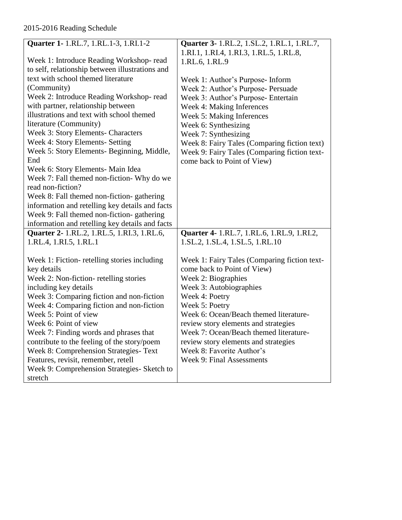## 2015-2016 Reading Schedule

| Quarter 1- 1.RL.7, 1.RL.1-3, 1.RI.1-2           | Quarter 3- 1.RL.2, 1.SL.2, 1.RL.1, 1.RL.7,   |
|-------------------------------------------------|----------------------------------------------|
|                                                 |                                              |
|                                                 | 1.RI.1, 1.RI.4, 1.RI.3, 1.RL.5, 1.RL.8,      |
| Week 1: Introduce Reading Workshop-read         | 1.RL.6, 1.RL.9                               |
| to self, relationship between illustrations and |                                              |
| text with school themed literature              | Week 1: Author's Purpose- Inform             |
| (Community)                                     | Week 2: Author's Purpose- Persuade           |
| Week 2: Introduce Reading Workshop-read         | Week 3: Author's Purpose- Entertain          |
| with partner, relationship between              | Week 4: Making Inferences                    |
| illustrations and text with school themed       | Week 5: Making Inferences                    |
| literature (Community)                          | Week 6: Synthesizing                         |
| Week 3: Story Elements- Characters              | Week 7: Synthesizing                         |
| Week 4: Story Elements- Setting                 | Week 8: Fairy Tales (Comparing fiction text) |
| Week 5: Story Elements- Beginning, Middle,      | Week 9: Fairy Tales (Comparing fiction text- |
| End                                             | come back to Point of View)                  |
| Week 6: Story Elements- Main Idea               |                                              |
| Week 7: Fall themed non-fiction- Why do we      |                                              |
| read non-fiction?                               |                                              |
| Week 8: Fall themed non-fiction-gathering       |                                              |
| information and retelling key details and facts |                                              |
| Week 9: Fall themed non-fiction-gathering       |                                              |
| information and retelling key details and facts |                                              |
| Quarter 2- 1.RL.2, 1.RL.5, 1.RI.3, 1.RL.6,      | Quarter 4- 1.RL.7, 1.RL.6, 1.RL.9, 1.RI.2,   |
| 1.RL.4, 1.RI.5, 1.RL.1                          | 1.SL.2, 1.SL.4, 1.SL.5, 1.RL.10              |
|                                                 |                                              |
| Week 1: Fiction-retelling stories including     | Week 1: Fairy Tales (Comparing fiction text- |
| key details                                     | come back to Point of View)                  |
| Week 2: Non-fiction- retelling stories          | Week 2: Biographies                          |
| including key details                           | Week 3: Autobiographies                      |
| Week 3: Comparing fiction and non-fiction       | Week 4: Poetry                               |
| Week 4: Comparing fiction and non-fiction       | Week 5: Poetry                               |
| Week 5: Point of view                           | Week 6: Ocean/Beach themed literature-       |
| Week 6: Point of view                           | review story elements and strategies         |
| Week 7: Finding words and phrases that          | Week 7: Ocean/Beach themed literature-       |
| contribute to the feeling of the story/poem     | review story elements and strategies         |
| Week 8: Comprehension Strategies- Text          | Week 8: Favorite Author's                    |
| Features, revisit, remember, retell             | <b>Week 9: Final Assessments</b>             |
| Week 9: Comprehension Strategies- Sketch to     |                                              |
| stretch                                         |                                              |
|                                                 |                                              |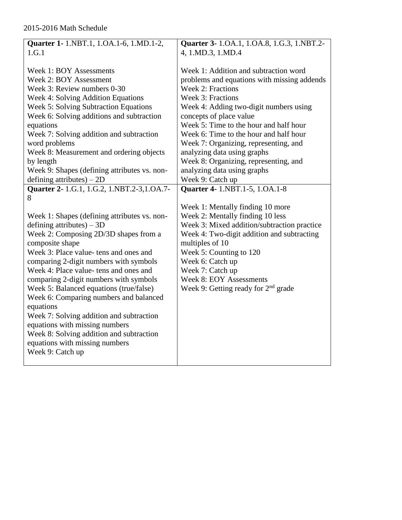| Quarter 1- 1.NBT.1, 1.OA.1-6, 1.MD.1-2,                                                                                                                                                                                                                                                                                                                                                                                                                                                                                                                                                               | Quarter 3- 1.0A.1, 1.0A.8, 1.G.3, 1.NBT.2-                                                                                                                                                                                                                                                                                                                                                                                                                         |
|-------------------------------------------------------------------------------------------------------------------------------------------------------------------------------------------------------------------------------------------------------------------------------------------------------------------------------------------------------------------------------------------------------------------------------------------------------------------------------------------------------------------------------------------------------------------------------------------------------|--------------------------------------------------------------------------------------------------------------------------------------------------------------------------------------------------------------------------------------------------------------------------------------------------------------------------------------------------------------------------------------------------------------------------------------------------------------------|
| 1.G.1                                                                                                                                                                                                                                                                                                                                                                                                                                                                                                                                                                                                 | 4, 1.MD.3, 1.MD.4                                                                                                                                                                                                                                                                                                                                                                                                                                                  |
| <b>Week 1: BOY Assessments</b><br>Week 2: BOY Assessment<br>Week 3: Review numbers 0-30<br>Week 4: Solving Addition Equations<br>Week 5: Solving Subtraction Equations<br>Week 6: Solving additions and subtraction<br>equations<br>Week 7: Solving addition and subtraction<br>word problems<br>Week 8: Measurement and ordering objects<br>by length<br>Week 9: Shapes (defining attributes vs. non-<br>defining attributes) $-2D$                                                                                                                                                                  | Week 1: Addition and subtraction word<br>problems and equations with missing addends<br><b>Week 2: Fractions</b><br>Week 3: Fractions<br>Week 4: Adding two-digit numbers using<br>concepts of place value<br>Week 5: Time to the hour and half hour<br>Week 6: Time to the hour and half hour<br>Week 7: Organizing, representing, and<br>analyzing data using graphs<br>Week 8: Organizing, representing, and<br>analyzing data using graphs<br>Week 9: Catch up |
| Quarter 2- 1.G.1, 1.G.2, 1.NBT.2-3,1.OA.7-                                                                                                                                                                                                                                                                                                                                                                                                                                                                                                                                                            | Quarter 4- 1.NBT.1-5, 1.OA.1-8                                                                                                                                                                                                                                                                                                                                                                                                                                     |
| 8<br>Week 1: Shapes (defining attributes vs. non-<br>defining attributes) $-3D$<br>Week 2: Composing 2D/3D shapes from a<br>composite shape<br>Week 3: Place value- tens and ones and<br>comparing 2-digit numbers with symbols<br>Week 4: Place value- tens and ones and<br>comparing 2-digit numbers with symbols<br>Week 5: Balanced equations (true/false)<br>Week 6: Comparing numbers and balanced<br>equations<br>Week 7: Solving addition and subtraction<br>equations with missing numbers<br>Week 8: Solving addition and subtraction<br>equations with missing numbers<br>Week 9: Catch up | Week 1: Mentally finding 10 more<br>Week 2: Mentally finding 10 less<br>Week 3: Mixed addition/subtraction practice<br>Week 4: Two-digit addition and subtracting<br>multiples of 10<br>Week 5: Counting to 120<br>Week 6: Catch up<br>Week 7: Catch up<br><b>Week 8: EOY Assessments</b><br>Week 9: Getting ready for $2nd$ grade                                                                                                                                 |